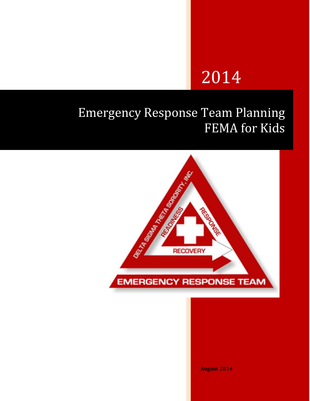# 2014

## Emergency Response Team Planning FEMA for Kids



**August 2014**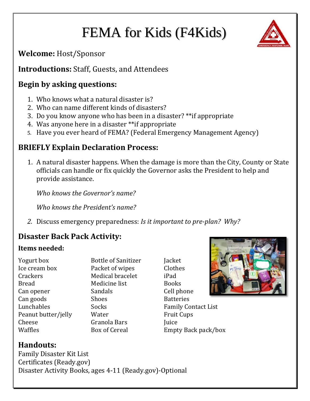## FEMA for Kids (F4Kids)



**Welcome:** Host/Sponsor

**Introductions:** Staff, Guests, and Attendees

### **Begin by asking questions:**

- 1. Who knows what a natural disaster is?
- 2. Who can name different kinds of disasters?
- 3. Do you know anyone who has been in a disaster? \*\*if appropriate
- 4. Was anyone here in a disaster \*\*if appropriate
- 5. Have you ever heard of FEMA? (Federal Emergency Management Agency)

### **BRIEFLY Explain Declaration Process:**

1. A natural disaster happens. When the damage is more than the City, County or State officials can handle or fix quickly the Governor asks the President to help and provide assistance.

*Who knows the Governor's name?*

*Who knows the President's name?*

*2.* Discuss emergency preparedness: *Is it important to pre-plan? Why?*

### **Disaster Back Pack Activity:**

#### **Items needed:**

Yogurt box Bottle of Sanitizer Jacket Ice cream box Packet of wipes Clothes Crackers Medical bracelet iPad Bread Medicine list Books Can opener Sandals Cell phone Can goods Shoes Shoes Batteries Peanut butter/jelly Water Fruit Cups Cheese Granola Bars Juice Waffles Box of Cereal Empty Back pack/box

Lunchables Socks Family Contact List



**Handouts:**

Family Disaster Kit List Certificates (Ready.gov) Disaster Activity Books, ages 4-11 (Ready.gov)-Optional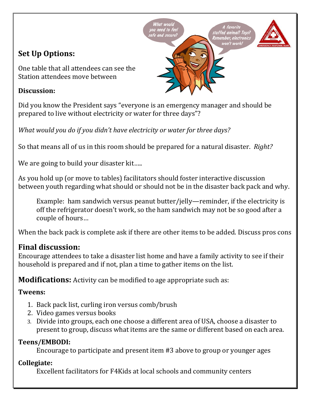## **Set Up Options:**

One table that all attendees can see the Station attendees move between

#### **Discussion:**



' secure

stuffed animal? Toys?<br>Remember, electronics

on't work.

*What would you do if you didn't have electricity or water for three days?*

So that means all of us in this room should be prepared for a natural disaster. *Right?*

We are going to build your disaster kit.....

As you hold up (or move to tables) facilitators should foster interactive discussion between youth regarding what should or should not be in the disaster back pack and why.

Example: ham sandwich versus peanut butter/jelly—reminder, if the electricity is off the refrigerator doesn't work, so the ham sandwich may not be so good after a couple of hours…

When the back pack is complete ask if there are other items to be added. Discuss pros cons

#### **Final discussion:**

Encourage attendees to take a disaster list home and have a family activity to see if their household is prepared and if not, plan a time to gather items on the list.

**Modifications:** Activity can be modified to age appropriate such as:

#### **Tweens:**

- 1. Back pack list, curling iron versus comb/brush
- 2. Video games versus books
- 3. Divide into groups, each one choose a different area of USA, choose a disaster to present to group, discuss what items are the same or different based on each area.

#### **Teens/EMBODI:**

Encourage to participate and present item #3 above to group or younger ages

#### **Collegiate:**

Excellent facilitators for F4Kids at local schools and community centers